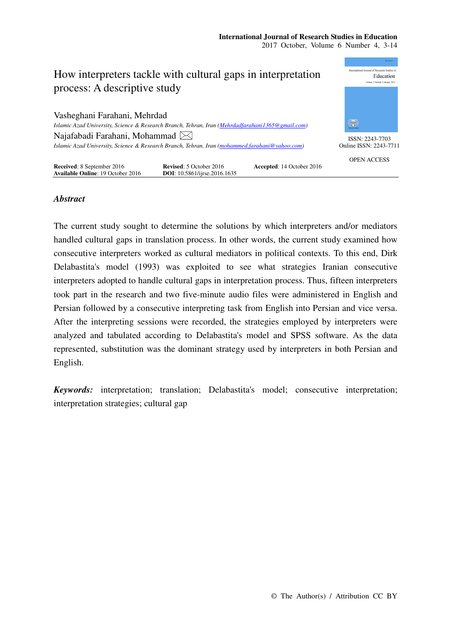

# *Abstract*

The current study sought to determine the solutions by which interpreters and/or mediators handled cultural gaps in translation process. In other words, the current study examined how consecutive interpreters worked as cultural mediators in political contexts. To this end, Dirk Delabastita's model (1993) was exploited to see what strategies Iranian consecutive interpreters adopted to handle cultural gaps in interpretation process. Thus, fifteen interpreters took part in the research and two five-minute audio files were administered in English and Persian followed by a consecutive interpreting task from English into Persian and vice versa. After the interpreting sessions were recorded, the strategies employed by interpreters were analyzed and tabulated according to Delabastita's model and SPSS software. As the data represented, substitution was the dominant strategy used by interpreters in both Persian and English.

*Keywords:* interpretation; translation; Delabastita's model; consecutive interpretation; interpretation strategies; cultural gap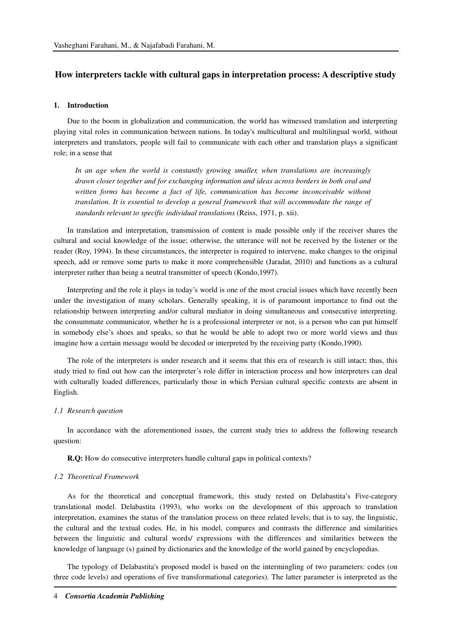# **How interpreters tackle with cultural gaps in interpretation process: A descriptive study**

# **1. Introduction**

Due to the boom in globalization and communication, the world has witnessed translation and interpreting playing vital roles in communication between nations. In today's multicultural and multilingual world, without interpreters and translators, people will fail to communicate with each other and translation plays a significant role; in a sense that

In an age when the world is constantly growing smaller, when translations are increasingly *drawn closer together and for exchanging information and ideas across borders in both oral and written forms has become a fact of life, communication has become inconceivable without translation. It is essential to develop a general framework that will accommodate the range of standards relevant to specific individual translations* (Reiss, 1971, p. xii).

In translation and interpretation, transmission of content is made possible only if the receiver shares the cultural and social knowledge of the issue; otherwise, the utterance will not be received by the listener or the reader (Roy, 1994). In these circumstances, the interpreter is required to intervene, make changes to the original speech, add or remove some parts to make it more comprehensible (Jaradat, 2010) and functions as a cultural interpreter rather than being a neutral transmitter of speech (Kondo,1997).

Interpreting and the role it plays in today's world is one of the most crucial issues which have recently been under the investigation of many scholars. Generally speaking, it is of paramount importance to find out the relationship between interpreting and/or cultural mediator in doing simultaneous and consecutive interpreting. the consummate communicator, whether he is a professional interpreter or not, is a person who can put himself in somebody else's shoes and speaks, so that he would be able to adopt two or more world views and thus imagine how a certain message would be decoded or interpreted by the receiving party (Kondo,1990).

The role of the interpreters is under research and it seems that this era of research is still intact; thus, this study tried to find out how can the interpreter's role differ in interaction process and how interpreters can deal with culturally loaded differences, particularly those in which Persian cultural specific contexts are absent in English.

### *1.1 Research question*

In accordance with the aforementioned issues, the current study tries to address the following research question:

**R.Q:** How do consecutive interpreters handle cultural gaps in political contexts?

# *1.2 Theoretical Framework*

As for the theoretical and conceptual framework, this study rested on Delabastita's Five-category translational model. Delabastita (1993), who works on the development of this approach to translation interpretation, examines the status of the translation process on three related levels; that is to say, the linguistic, the cultural and the textual codes. He, in his model, compares and contrasts the difference and similarities between the linguistic and cultural words/ expressions with the differences and similarities between the knowledge of language (s) gained by dictionaries and the knowledge of the world gained by encyclopedias.

The typology of Delabastita's proposed model is based on the intermingling of two parameters: codes (on three code levels) and operations of five transformational categories). The latter parameter is interpreted as the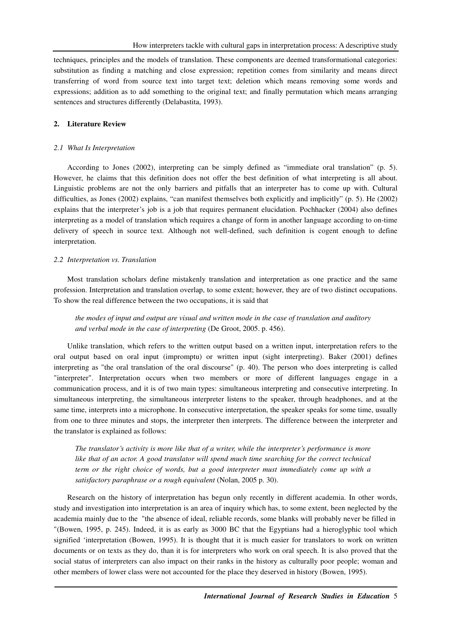techniques, principles and the models of translation. These components are deemed transformational categories: substitution as finding a matching and close expression; repetition comes from similarity and means direct transferring of word from source text into target text; deletion which means removing some words and expressions; addition as to add something to the original text; and finally permutation which means arranging sentences and structures differently (Delabastita, 1993).

## **2. Literature Review**

#### *2.1 What Is Interpretation*

According to Jones (2002), interpreting can be simply defined as "immediate oral translation" (p. 5). However, he claims that this definition does not offer the best definition of what interpreting is all about. Linguistic problems are not the only barriers and pitfalls that an interpreter has to come up with. Cultural difficulties, as Jones (2002) explains, "can manifest themselves both explicitly and implicitly" (p. 5). He (2002) explains that the interpreter's job is a job that requires permanent elucidation. Pochhacker (2004) also defines interpreting as a model of translation which requires a change of form in another language according to on-time delivery of speech in source text. Although not well-defined, such definition is cogent enough to define interpretation.

### *2.2 Interpretation vs. Translation*

Most translation scholars define mistakenly translation and interpretation as one practice and the same profession. Interpretation and translation overlap, to some extent; however, they are of two distinct occupations. To show the real difference between the two occupations, it is said that

*the modes of input and output are visual and written mode in the case of translation and auditory and verbal mode in the case of interpreting* (De Groot, 2005. p. 456).

Unlike translation, which refers to the written output based on a written input, interpretation refers to the oral output based on oral input (impromptu) or written input (sight interpreting). Baker (2001) defines interpreting as "the oral translation of the oral discourse" (p. 40). The person who does interpreting is called "interpreter". Interpretation occurs when two members or more of different languages engage in a communication process, and it is of two main types: simultaneous interpreting and consecutive interpreting. In simultaneous interpreting, the simultaneous interpreter listens to the speaker, through headphones, and at the same time, interprets into a microphone. In consecutive interpretation, the speaker speaks for some time, usually from one to three minutes and stops, the interpreter then interprets. The difference between the interpreter and the translator is explained as follows:

*The translator's activity is more like that of a writer, while the interpreter's performance is more like that of an actor. A good translator will spend much time searching for the correct technical term or the right choice of words, but a good interpreter must immediately come up with a satisfactory paraphrase or a rough equivalent* (Nolan, 2005 p. 30).

Research on the history of interpretation has begun only recently in different academia. In other words, study and investigation into interpretation is an area of inquiry which has, to some extent, been neglected by the academia mainly due to the "the absence of ideal, reliable records, some blanks will probably never be filled in "(Bowen, 1995, p. 245). Indeed, it is as early as 3000 BC that the Egyptians had a hieroglyphic tool which signified 'interpretation (Bowen, 1995). It is thought that it is much easier for translators to work on written documents or on texts as they do, than it is for interpreters who work on oral speech. It is also proved that the social status of interpreters can also impact on their ranks in the history as culturally poor people; woman and other members of lower class were not accounted for the place they deserved in history (Bowen, 1995).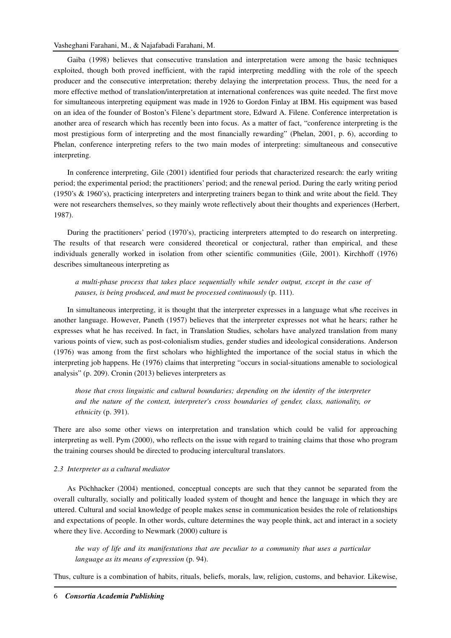# Vasheghani Farahani, M., & Najafabadi Farahani, M.

Gaiba (1998) believes that consecutive translation and interpretation were among the basic techniques exploited, though both proved inefficient, with the rapid interpreting meddling with the role of the speech producer and the consecutive interpretation; thereby delaying the interpretation process. Thus, the need for a more effective method of translation/interpretation at international conferences was quite needed. The first move for simultaneous interpreting equipment was made in 1926 to Gordon Finlay at IBM. His equipment was based on an idea of the founder of Boston's Filene's department store, Edward A. Filene. Conference interpretation is another area of research which has recently been into focus. As a matter of fact, "conference interpreting is the most prestigious form of interpreting and the most financially rewarding" (Phelan, 2001, p. 6), according to Phelan, conference interpreting refers to the two main modes of interpreting: simultaneous and consecutive interpreting.

In conference interpreting, Gile (2001) identified four periods that characterized research: the early writing period; the experimental period; the practitioners' period; and the renewal period. During the early writing period (1950's & 1960's), practicing interpreters and interpreting trainers began to think and write about the field. They were not researchers themselves, so they mainly wrote reflectively about their thoughts and experiences (Herbert, 1987).

During the practitioners' period (1970's), practicing interpreters attempted to do research on interpreting. The results of that research were considered theoretical or conjectural, rather than empirical, and these individuals generally worked in isolation from other scientific communities (Gile, 2001). Kirchhoff (1976) describes simultaneous interpreting as

*a multi-phase process that takes place sequentially while sender output, except in the case of pauses, is being produced, and must be processed continuously* (p. 111).

In simultaneous interpreting, it is thought that the interpreter expresses in a language what s/he receives in another language. However, Paneth (1957) believes that the interpreter expresses not what he hears; rather he expresses what he has received. In fact, in Translation Studies, scholars have analyzed translation from many various points of view, such as post-colonialism studies, gender studies and ideological considerations. Anderson (1976) was among from the first scholars who highlighted the importance of the social status in which the interpreting job happens. He (1976) claims that interpreting "occurs in social-situations amenable to sociological analysis" (p. 209). Cronin (2013) believes interpreters as

*those that cross linguistic and cultural boundaries; depending on the identity of the interpreter and the nature of the context, interpreter's cross boundaries of gender, class, nationality, or ethnicity* (p. 391).

There are also some other views on interpretation and translation which could be valid for approaching interpreting as well. Pym (2000), who reflects on the issue with regard to training claims that those who program the training courses should be directed to producing intercultural translators.

# *2.3 Interpreter as a cultural mediator*

As Pöchhacker (2004) mentioned, conceptual concepts are such that they cannot be separated from the overall culturally, socially and politically loaded system of thought and hence the language in which they are uttered. Cultural and social knowledge of people makes sense in communication besides the role of relationships and expectations of people. In other words, culture determines the way people think, act and interact in a society where they live. According to Newmark (2000) culture is

*the way of life and its manifestations that are peculiar to a community that uses a particular language as its means of expression* (p. 94).

Thus, culture is a combination of habits, rituals, beliefs, morals, law, religion, customs, and behavior. Likewise,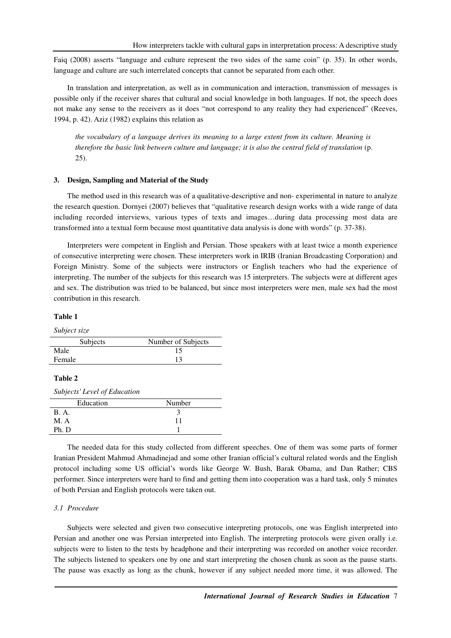Faiq (2008) asserts "language and culture represent the two sides of the same coin" (p. 35). In other words, language and culture are such interrelated concepts that cannot be separated from each other.

In translation and interpretation, as well as in communication and interaction, transmission of messages is possible only if the receiver shares that cultural and social knowledge in both languages. If not, the speech does not make any sense to the receivers as it does "not correspond to any reality they had experienced" (Reeves, 1994, p. 42). Aziz (1982) explains this relation as

*the vocabulary of a language derives its meaning to a large extent from its culture. Meaning is therefore the basic link between culture and language; it is also the central field of translation* (p. 25).

### **3. Design, Sampling and Material of the Study**

The method used in this research was of a qualitative-descriptive and non- experimental in nature to analyze the research question. Dornyei (2007) believes that "qualitative research design works with a wide range of data including recorded interviews, various types of texts and images…during data processing most data are transformed into a textual form because most quantitative data analysis is done with words" (p. 37-38).

Interpreters were competent in English and Persian. Those speakers with at least twice a month experience of consecutive interpreting were chosen. These interpreters work in IRIB (Iranian Broadcasting Corporation) and Foreign Ministry. Some of the subjects were instructors or English teachers who had the experience of interpreting. The number of the subjects for this research was 15 interpreters. The subjects were at different ages and sex. The distribution was tried to be balanced, but since most interpreters were men, male sex had the most contribution in this research.

## **Table 1**

*Subject size* 

| Subjects | Number of Subjects |
|----------|--------------------|
| Male     |                    |
| Female   |                    |

### **Table 2**

*Subjects' Level of Education* 

| Number |
|--------|
|        |
| 11     |
|        |
|        |

The needed data for this study collected from different speeches. One of them was some parts of former Iranian President Mahmud Ahmadinejad and some other Iranian official's cultural related words and the English protocol including some US official's words like George W. Bush, Barak Obama, and Dan Rather; CBS performer. Since interpreters were hard to find and getting them into cooperation was a hard task, only 5 minutes of both Persian and English protocols were taken out.

# *3.1 Procedure*

Subjects were selected and given two consecutive interpreting protocols, one was English interpreted into Persian and another one was Persian interpreted into English. The interpreting protocols were given orally i.e. subjects were to listen to the tests by headphone and their interpreting was recorded on another voice recorder. The subjects listened to speakers one by one and start interpreting the chosen chunk as soon as the pause starts. The pause was exactly as long as the chunk, however if any subject needed more time, it was allowed. The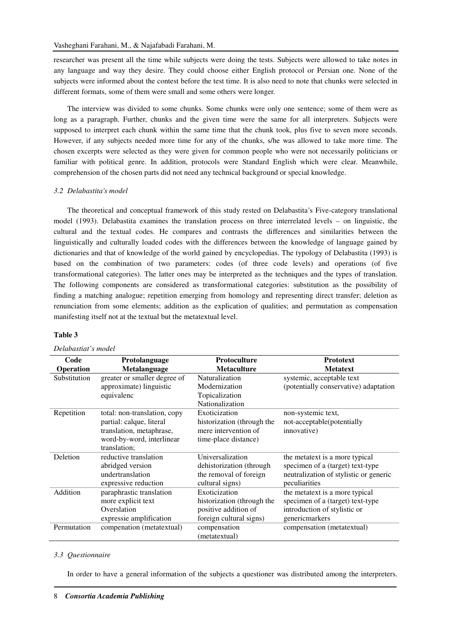researcher was present all the time while subjects were doing the tests. Subjects were allowed to take notes in any language and way they desire. They could choose either English protocol or Persian one. None of the subjects were informed about the contest before the test time. It is also need to note that chunks were selected in different formats, some of them were small and some others were longer.

The interview was divided to some chunks. Some chunks were only one sentence; some of them were as long as a paragraph. Further, chunks and the given time were the same for all interpreters. Subjects were supposed to interpret each chunk within the same time that the chunk took, plus five to seven more seconds. However, if any subjects needed more time for any of the chunks, s/he was allowed to take more time. The chosen excerpts were selected as they were given for common people who were not necessarily politicians or familiar with political genre. In addition, protocols were Standard English which were clear. Meanwhile, comprehension of the chosen parts did not need any technical background or special knowledge.

#### *3.2 Delabastita's model*

The theoretical and conceptual framework of this study rested on Delabastita's Five-category translational model (1993). Delabastita examines the translation process on three interrelated levels – on linguistic, the cultural and the textual codes. He compares and contrasts the differences and similarities between the linguistically and culturally loaded codes with the differences between the knowledge of language gained by dictionaries and that of knowledge of the world gained by encyclopedias. The typology of Delabastita (1993) is based on the combination of two parameters: codes (of three code levels) and operations (of five transformational categories). The latter ones may be interpreted as the techniques and the types of translation. The following components are considered as transformational categories: substitution as the possibility of finding a matching analogue; repetition emerging from homology and representing direct transfer; deletion as renunciation from some elements; addition as the explication of qualities; and permutation as compensation manifesting itself not at the textual but the metatextual level.

#### **Table 3**

# *Delabastiat's model*

| Code             | Protolanguage                | <b>Protoculture</b>        | <b>Prototext</b>                       |
|------------------|------------------------------|----------------------------|----------------------------------------|
| <b>Operation</b> | Metalanguage                 | <b>Metaculture</b>         | <b>Metatext</b>                        |
| Substitution     | greater or smaller degree of | Naturalization             | systemic, acceptable text              |
|                  | approximate) linguistic      | Modernization              | (potentially conservative) adaptation  |
|                  | equivalenc                   | Topicalization             |                                        |
|                  |                              | Nationalization            |                                        |
| Repetition       | total: non-translation, copy | Exoticization              | non-systemic text,                     |
|                  | partial: calque, literal     | historization (through the | not-acceptable(potentially             |
|                  | translation, metaphrase,     | mere intervention of       | innovative)                            |
|                  | word-by-word, interlinear    | time-place distance)       |                                        |
|                  | translation;                 |                            |                                        |
| Deletion         | reductive translation        | Universalization           | the metatext is a more typical         |
|                  | abridged version             | dehistorization (through   | specimen of a (target) text-type       |
|                  | undertranslation             | the removal of foreign     | neutralization of stylistic or generic |
|                  | expressive reduction         | cultural signs)            | peculiarities                          |
| Addition         | paraphrastic translation     | Exoticization              | the metatext is a more typical         |
|                  | more explicit text           | historization (through the | specimen of a (target) text-type       |
|                  | Overslation                  | positive addition of       | introduction of stylistic or           |
|                  | expressie amplification      | foreign cultural signs)    | genericmarkers                         |
| Permutation      | compenation (metatextual)    | compensation               | compensation (metatextual)             |
|                  |                              | (metatextual)              |                                        |

#### *3.3 Questionnaire*

In order to have a general information of the subjects a questioner was distributed among the interpreters.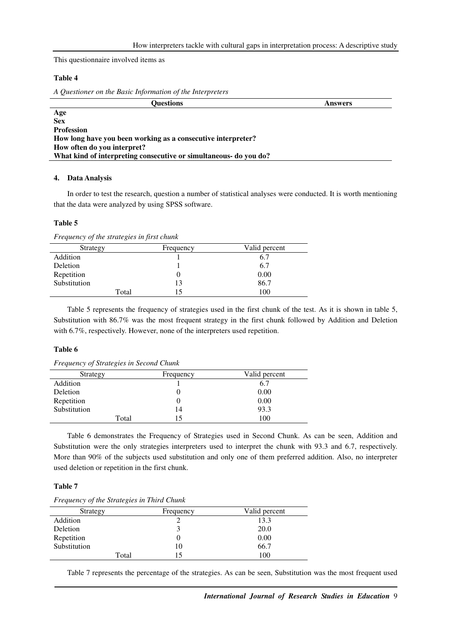This questionnaire involved items as

# **Table 4**

*A Questioner on the Basic Information of the Interpreters* 

| <b>Ouestions</b>                                                  | <b>Answers</b> |
|-------------------------------------------------------------------|----------------|
| Age                                                               |                |
| <b>Sex</b>                                                        |                |
| <b>Profession</b>                                                 |                |
| How long have you been working as a consecutive interpreter?      |                |
| How often do you interpret?                                       |                |
| What kind of interpreting consecutive or simultaneous- do you do? |                |

# **4. Data Analysis**

In order to test the research, question a number of statistical analyses were conducted. It is worth mentioning that the data were analyzed by using SPSS software.

#### **Table 5**

*Frequency of the strategies in first chunk* 

| Strategy     |       | Frequency | Valid percent |
|--------------|-------|-----------|---------------|
| Addition     |       |           | 6.7           |
| Deletion     |       |           | 6.7           |
| Repetition   |       |           | 0.00          |
| Substitution |       | 13        | 86.7          |
|              | Total |           | 100           |

Table 5 represents the frequency of strategies used in the first chunk of the test. As it is shown in table 5, Substitution with 86.7% was the most frequent strategy in the first chunk followed by Addition and Deletion with 6.7%, respectively. However, none of the interpreters used repetition.

# **Table 6**

*Frequency of Strategies in Second Chunk* 

| Strategy     | Frequency | Valid percent |
|--------------|-----------|---------------|
| Addition     |           | 6.7           |
| Deletion     |           | 0.00          |
| Repetition   |           | 0.00          |
| Substitution | 14        | 93.3          |
| Total        | 15        | 100           |

Table 6 demonstrates the Frequency of Strategies used in Second Chunk. As can be seen, Addition and Substitution were the only strategies interpreters used to interpret the chunk with 93.3 and 6.7, respectively. More than 90% of the subjects used substitution and only one of them preferred addition. Also, no interpreter used deletion or repetition in the first chunk.

# **Table 7**

| Frequency of the Strategies in Third Chunk |  |  |  |
|--------------------------------------------|--|--|--|
|                                            |  |  |  |

| Strategy     | Frequency | Valid percent |
|--------------|-----------|---------------|
| Addition     |           | 13.3          |
| Deletion     |           | 20.0          |
| Repetition   |           | 0.00          |
| Substitution | 10        | 66.7          |
| Total        |           | 100           |

Table 7 represents the percentage of the strategies. As can be seen, Substitution was the most frequent used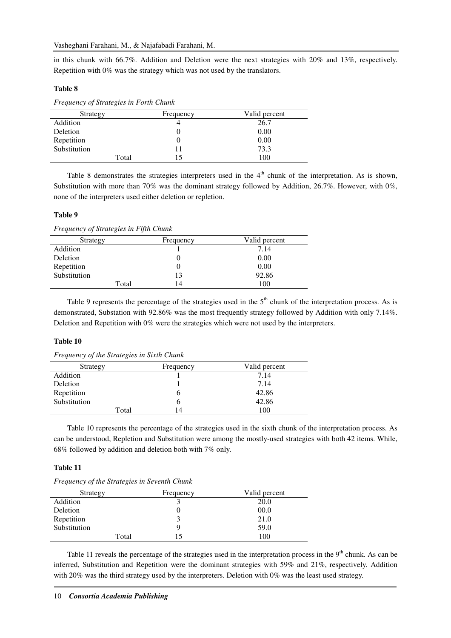in this chunk with 66.7%. Addition and Deletion were the next strategies with 20% and 13%, respectively. Repetition with 0% was the strategy which was not used by the translators.

## **Table 8**

| Frequency of Strategies in Forth Chunk |             |               |  |
|----------------------------------------|-------------|---------------|--|
| Strategy                               | Frequency   | Valid percent |  |
| Addition                               |             | 26.7          |  |
| Deletion                               |             | 0.00          |  |
| Repetition                             |             | 0.00          |  |
| Substitution                           |             | 73.3          |  |
|                                        | Total<br>15 | 100           |  |

Table 8 demonstrates the strategies interpreters used in the  $4<sup>th</sup>$  chunk of the interpretation. As is shown, Substitution with more than 70% was the dominant strategy followed by Addition, 26.7%. However, with 0%, none of the interpreters used either deletion or repletion.

## **Table 9**

*Frequency of Strategies in Fifth Chunk* 

| Strategy     | Frequency | Valid percent |
|--------------|-----------|---------------|
| Addition     |           | 7.14          |
| Deletion     |           | 0.00          |
| Repetition   |           | 0.00          |
| Substitution | 13        | 92.86         |
| Total        | 14        | 100           |

Table 9 represents the percentage of the strategies used in the 5<sup>th</sup> chunk of the interpretation process. As is demonstrated, Substation with 92.86% was the most frequently strategy followed by Addition with only 7.14%. Deletion and Repetition with 0% were the strategies which were not used by the interpreters.

#### **Table 10**

*Frequency of the Strategies in Sixth Chunk* 

| Strategy     | Frequency | Valid percent |
|--------------|-----------|---------------|
| Addition     |           | 7.14          |
| Deletion     |           | 7.14          |
| Repetition   |           | 42.86         |
| Substitution |           | 42.86         |
| Total        | 14        | 100           |

Table 10 represents the percentage of the strategies used in the sixth chunk of the interpretation process. As can be understood, Repletion and Substitution were among the mostly-used strategies with both 42 items. While, 68% followed by addition and deletion both with 7% only.

# **Table 11**

| <i>Trequency of the strategies in Sevenin Chan</i> n |           |               |  |
|------------------------------------------------------|-----------|---------------|--|
| Strategy                                             | Frequency | Valid percent |  |
| Addition                                             |           | 20.0          |  |
| Deletion                                             |           | 00.0          |  |
| Repetition                                           |           | 21.0          |  |
| Substitution                                         |           | 59.0          |  |
| Total                                                |           | 100           |  |

*Frequency of the Strategies in Seventh Chunk* 

Table 11 reveals the percentage of the strategies used in the interpretation process in the  $9<sup>th</sup>$  chunk. As can be inferred, Substitution and Repetition were the dominant strategies with 59% and 21%, respectively. Addition with 20% was the third strategy used by the interpreters. Deletion with 0% was the least used strategy.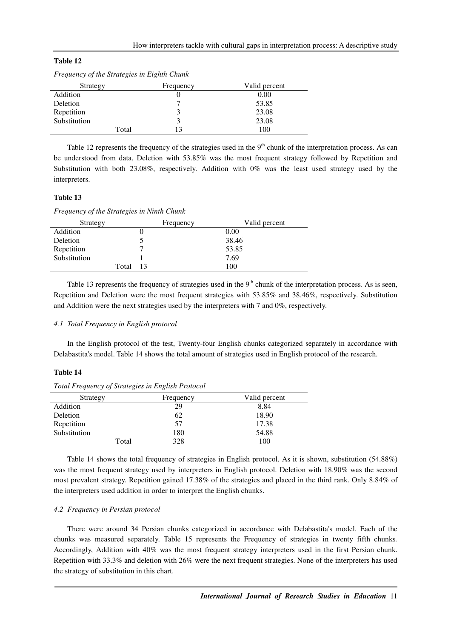# **Table 12**

| Strategy     | Frequency | Valid percent |
|--------------|-----------|---------------|
| Addition     |           | 0.00          |
| Deletion     |           | 53.85         |
| Repetition   |           | 23.08         |
| Substitution |           | 23.08         |
| Total        |           | 100           |

*Frequency of the Strategies in Eighth Chunk* 

Table 12 represents the frequency of the strategies used in the  $9<sup>th</sup>$  chunk of the interpretation process. As can be understood from data, Deletion with 53.85% was the most frequent strategy followed by Repetition and Substitution with both 23.08%, respectively. Addition with 0% was the least used strategy used by the interpreters.

# **Table 13**

*Frequency of the Strategies in Ninth Chunk* 

| Strategy     |       | Frequency | Valid percent |
|--------------|-------|-----------|---------------|
| Addition     |       |           | 0.00          |
| Deletion     |       |           | 38.46         |
| Repetition   |       |           | 53.85         |
| Substitution |       |           | 7.69          |
|              | Total | 13        | 100           |

Table 13 represents the frequency of strategies used in the  $9<sup>th</sup>$  chunk of the interpretation process. As is seen, Repetition and Deletion were the most frequent strategies with 53.85% and 38.46%, respectively. Substitution and Addition were the next strategies used by the interpreters with 7 and 0%, respectively.

### *4.1 Total Frequency in English protocol*

In the English protocol of the test, Twenty-four English chunks categorized separately in accordance with Delabastita's model. Table 14 shows the total amount of strategies used in English protocol of the research.

#### **Table 14**

| Strategy     | Frequency | Valid percent |
|--------------|-----------|---------------|
| Addition     | 29        | 8.84          |
| Deletion     | 62        | 18.90         |
| Repetition   | 57        | 17.38         |
| Substitution | 180       | 54.88         |
| Total        | 328       | 100           |

*Total Frequency of Strategies in English Protocol* 

Table 14 shows the total frequency of strategies in English protocol. As it is shown, substitution (54.88%) was the most frequent strategy used by interpreters in English protocol. Deletion with 18.90% was the second most prevalent strategy. Repetition gained 17.38% of the strategies and placed in the third rank. Only 8.84% of the interpreters used addition in order to interpret the English chunks.

### *4.2 Frequency in Persian protocol*

There were around 34 Persian chunks categorized in accordance with Delabastita's model. Each of the chunks was measured separately. Table 15 represents the Frequency of strategies in twenty fifth chunks*.* Accordingly, Addition with 40% was the most frequent strategy interpreters used in the first Persian chunk. Repetition with 33.3% and deletion with 26% were the next frequent strategies. None of the interpreters has used the strategy of substitution in this chart.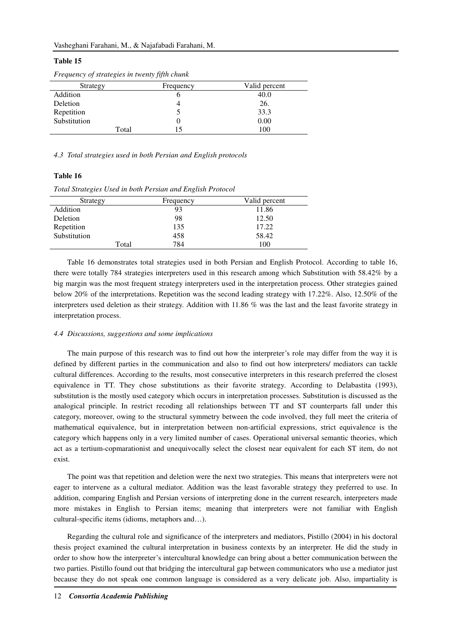### **Table 15**

| Strategy     | Frequency | Valid percent |
|--------------|-----------|---------------|
| Addition     |           | 40.0          |
| Deletion     |           | 26.           |
| Repetition   |           | 33.3          |
| Substitution |           | 0.00          |
| Total        |           | 100           |

*Frequency of strategies in twenty fifth chunk* 

*4.3 Total strategies used in both Persian and English protocols* 

### **Table 16**

*Total Strategies Used in both Persian and English Protocol* 

| Strategy     | Frequency | Valid percent |
|--------------|-----------|---------------|
| Addition     | 93        | 11.86         |
| Deletion     | 98        | 12.50         |
| Repetition   | 135       | 17.22         |
| Substitution | 458       | 58.42         |
| Total        | 784       | 100           |

Table 16 demonstrates total strategies used in both Persian and English Protocol. According to table 16, there were totally 784 strategies interpreters used in this research among which Substitution with 58.42% by a big margin was the most frequent strategy interpreters used in the interpretation process. Other strategies gained below 20% of the interpretations. Repetition was the second leading strategy with 17.22%. Also, 12.50% of the interpreters used deletion as their strategy. Addition with 11.86 % was the last and the least favorite strategy in interpretation process.

#### *4.4 Discussions, suggestions and some implications*

The main purpose of this research was to find out how the interpreter's role may differ from the way it is defined by different parties in the communication and also to find out how interpreters/ mediators can tackle cultural differences. According to the results, most consecutive interpreters in this research preferred the closest equivalence in TT. They chose substitutions as their favorite strategy. According to Delabastita (1993), substitution is the mostly used category which occurs in interpretation processes. Substitution is discussed as the analogical principle. In restrict recoding all relationships between TT and ST counterparts fall under this category, moreover, owing to the structural symmetry between the code involved, they full meet the criteria of mathematical equivalence, but in interpretation between non-artificial expressions, strict equivalence is the category which happens only in a very limited number of cases. Operational universal semantic theories, which act as a tertium-copmarationist and unequivocally select the closest near equivalent for each ST item, do not exist.

The point was that repetition and deletion were the next two strategies. This means that interpreters were not eager to intervene as a cultural mediator. Addition was the least favorable strategy they preferred to use. In addition, comparing English and Persian versions of interpreting done in the current research, interpreters made more mistakes in English to Persian items; meaning that interpreters were not familiar with English cultural-specific items (idioms, metaphors and…).

Regarding the cultural role and significance of the interpreters and mediators, Pistillo (2004) in his doctoral thesis project examined the cultural interpretation in business contexts by an interpreter. He did the study in order to show how the interpreter's intercultural knowledge can bring about a better communication between the two parties. Pistillo found out that bridging the intercultural gap between communicators who use a mediator just because they do not speak one common language is considered as a very delicate job. Also, impartiality is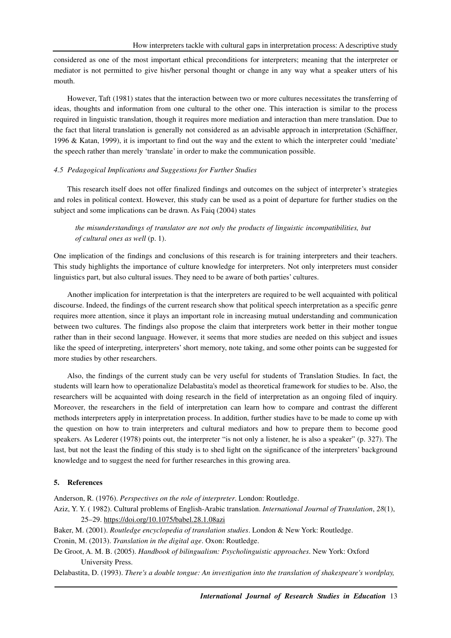considered as one of the most important ethical preconditions for interpreters; meaning that the interpreter or mediator is not permitted to give his/her personal thought or change in any way what a speaker utters of his mouth.

However, Taft (1981) states that the interaction between two or more cultures necessitates the transferring of ideas, thoughts and information from one cultural to the other one. This interaction is similar to the process required in linguistic translation, though it requires more mediation and interaction than mere translation. Due to the fact that literal translation is generally not considered as an advisable approach in interpretation (Schäffner, 1996 & Katan, 1999), it is important to find out the way and the extent to which the interpreter could 'mediate' the speech rather than merely 'translate' in order to make the communication possible.

### *4.5 Pedagogical Implications and Suggestions for Further Studies*

This research itself does not offer finalized findings and outcomes on the subject of interpreter's strategies and roles in political context. However, this study can be used as a point of departure for further studies on the subject and some implications can be drawn. As Faiq (2004) states

# *the misunderstandings of translator are not only the products of linguistic incompatibilities, but of cultural ones as well* (p. 1).

One implication of the findings and conclusions of this research is for training interpreters and their teachers. This study highlights the importance of culture knowledge for interpreters. Not only interpreters must consider linguistics part, but also cultural issues. They need to be aware of both parties' cultures.

Another implication for interpretation is that the interpreters are required to be well acquainted with political discourse. Indeed, the findings of the current research show that political speech interpretation as a specific genre requires more attention, since it plays an important role in increasing mutual understanding and communication between two cultures. The findings also propose the claim that interpreters work better in their mother tongue rather than in their second language. However, it seems that more studies are needed on this subject and issues like the speed of interpreting, interpreters' short memory, note taking, and some other points can be suggested for more studies by other researchers.

Also, the findings of the current study can be very useful for students of Translation Studies. In fact, the students will learn how to operationalize Delabastita's model as theoretical framework for studies to be. Also, the researchers will be acquainted with doing research in the field of interpretation as an ongoing filed of inquiry. Moreover, the researchers in the field of interpretation can learn how to compare and contrast the different methods interpreters apply in interpretation process. In addition, further studies have to be made to come up with the question on how to train interpreters and cultural mediators and how to prepare them to become good speakers. As Lederer (1978) points out, the interpreter "is not only a listener, he is also a speaker" (p. 327). The last, but not the least the finding of this study is to shed light on the significance of the interpreters' background knowledge and to suggest the need for further researches in this growing area.

### **5. References**

Anderson, R. (1976). *Perspectives on the role of interpreter*. London: Routledge. Aziz, Y. Y. ( 1982). Cultural problems of English-Arabic translation. *International Journal of Translation*, *28*(1), 25–29. https://doi.org/10.1075/babel.28.1.08azi

Baker, M. (2001). *Routledge encyclopedia of translation studies*. London & New York: Routledge.

Cronin, M. (2013). *Translation in the digital age*. Oxon: Routledge.

De Groot, A. M. B. (2005). *Handbook of bilingualism: Psycholinguistic approaches*. New York: Oxford University Press.

Delabastita, D. (1993). *There's a double tongue: An investigation into the translation of shakespeare's wordplay,*